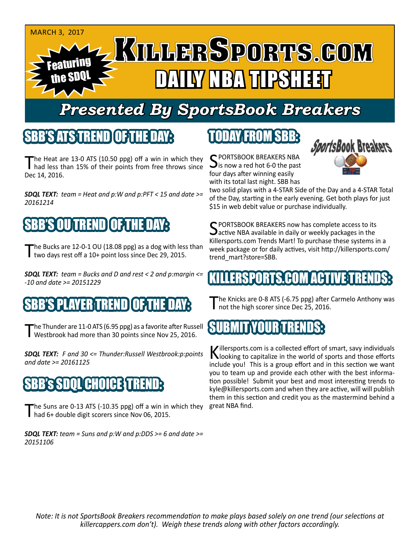

## *Presented By SportsBook Breakers*

#### SBB'S ATSTEREND

The Heat are 13-0 ATS (10.50 ppg) off a win in which they<br>had less than 15% of their points from free throws since Dec 14, 2016.

*SDQL TEXT: team = Heat and p:W and p:PFT < 15 and date >= 20161214*

## BB'S OU TREND

The Bucks are 12-0-1 OU (18.08 ppg) as a dog with less than two days rest off a 10+ point loss since Dec 29, 2015.

*SDQL TEXT: team = Bucks and D and rest < 2 and p:margin <= -10 and date >= 20151229*

#### 'S PLAYER TREND OF TH

The Thunder are 11-0 ATS (6.95 ppg) as a favorite after Russell<br>Westbrook had more than 30 points since Nov 25, 2016.

*SDQL TEXT: F and 30 <= Thunder:Russell Westbrook:p:points and date >= 20161125*

## SBB's SDQL CHOICE TREND:

The Suns are 0-13 ATS (-10.35 ppg) off a win in which they had 6+ double digit scorers since Nov 06, 2015.

*SDQL TEXT: team = Suns and p:W and p:DDS >= 6 and date >= 20151106*

### TODAY FROM SBB:

C PORTSBOOK BREAKERS NBA is now a red hot 6-0 the past four days after winning easily with its total last night. SBB has



two solid plays with a 4-STAR Side of the Day and a 4-STAR Total of the Day, starting in the early evening. Get both plays for just \$15 in web debit value or purchase individually.

SPORTSBOOK BREAKERS now has complete access to its  $\Delta$ active NBA available in daily or weekly packages in the Killersports.com Trends Mart! To purchase these systems in a week package or for daily actives, visit http://killersports.com/ trend\_mart?store=SBB.

#### LLERSPORTS.COM ACTIVE T

The Knicks are 0-8 ATS (-6.75 ppg) after Carmelo Anthony was not the high scorer since Dec 25, 2016.

#### SUBMIT YOUR TRENDS:

Killersports.com is a collected effort of smart, savy individuals<br>Nooking to capitalize in the world of sports and those efforts include you! This is a group effort and in this section we want you to team up and provide each other with the best information possible! Submit your best and most interesting trends to kyle@killersports.com and when they are active, will will publish them in this section and credit you as the mastermind behind a great NBA find.